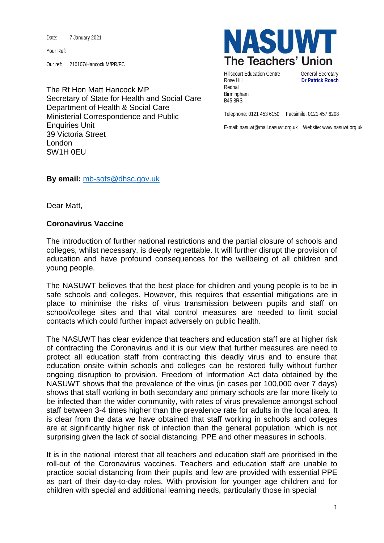Date: 7 January 2021

Your Ref:

Our ref: 210107/Hancock M/PR/FC

The Rt Hon Matt Hancock MP Secretary of State for Health and Social Care Department of Health & Social Care Ministerial Correspondence and Public Enquiries Unit 39 Victoria Street London SW1H 0EU



Hillscourt Education Centre **General Secretary** Rose Hill **Dr Patrick Roach** Rednal Birmingham B45 8RS

Telephone: 0121 453 6150 Facsimile: 0121 457 6208

E-mail: nasuwt@mail.nasuwt.org.uk Website: www.nasuwt.org.uk

**By email:** [mb-sofs@dhsc.gov.uk](mailto:mb-sofs@dhsc.gov.uk)

Dear Matt,

## **Coronavirus Vaccine**

The introduction of further national restrictions and the partial closure of schools and colleges, whilst necessary, is deeply regrettable. It will further disrupt the provision of education and have profound consequences for the wellbeing of all children and young people.

The NASUWT believes that the best place for children and young people is to be in safe schools and colleges. However, this requires that essential mitigations are in place to minimise the risks of virus transmission between pupils and staff on school/college sites and that vital control measures are needed to limit social contacts which could further impact adversely on public health.

The NASUWT has clear evidence that teachers and education staff are at higher risk of contracting the Coronavirus and it is our view that further measures are need to protect all education staff from contracting this deadly virus and to ensure that education onsite within schools and colleges can be restored fully without further ongoing disruption to provision. Freedom of Information Act data obtained by the NASUWT shows that the prevalence of the virus (in cases per 100,000 over 7 days) shows that staff working in both secondary and primary schools are far more likely to be infected than the wider community, with rates of virus prevalence amongst school staff between 3-4 times higher than the prevalence rate for adults in the local area. It is clear from the data we have obtained that staff working in schools and colleges are at significantly higher risk of infection than the general population, which is not surprising given the lack of social distancing, PPE and other measures in schools.

It is in the national interest that all teachers and education staff are prioritised in the roll-out of the Coronavirus vaccines. Teachers and education staff are unable to practice social distancing from their pupils and few are provided with essential PPE as part of their day-to-day roles. With provision for younger age children and for children with special and additional learning needs, particularly those in special